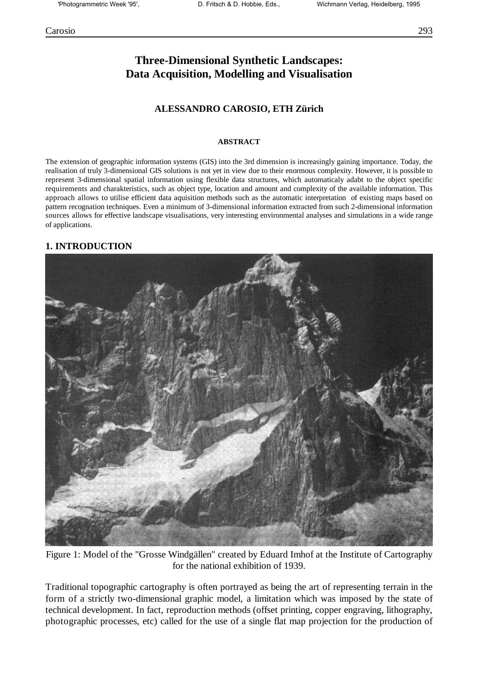## **Three-Dimensional Synthetic Landscapes: Data Acquisition, Modelling and Visualisation**

#### **ALESSANDRO CAROSIO, ETH Zürich**

#### **ABSTRACT**

The extension of geographic information systems (GIS) into the 3rd dimension is increasingly gaining importance. Today, the realisation of truly 3-dimensional GIS solutions is not yet in view due to their enormous complexity. However, it is possible to represent 3-dimensional spatial information using flexible data structures, which automaticaly adabt to the object specific requirements and charakteristics, such as object type, location and amount and complexity of the available information. This approach allows to utilise efficient data aquisition methods such as the automatic interpretation of existing maps based on pattern recognation techniques. Even a minimum of 3-dimensional information extracted from such 2-dimensional information sources allows for effective landscape visualisations, very interesting environmental analyses and simulations in a wide range of applications.

#### **1. INTRODUCTION**



Figure 1: Model of the "Grosse Windgällen" created by Eduard Imhof at the Institute of Cartography for the national exhibition of 1939.

Traditional topographic cartography is often portrayed as being the art of representing terrain in the form of a strictly two-dimensional graphic model, a limitation which was imposed by the state of technical development. In fact, reproduction methods (offset printing, copper engraving, lithography, photographic processes, etc) called for the use of a single flat map projection for the production of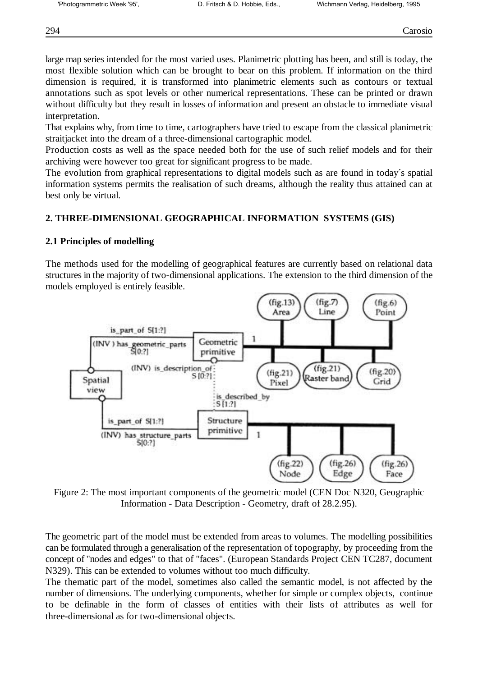large map series intended for the most varied uses. Planimetric plotting has been, and still is today, the most flexible solution which can be brought to bear on this problem. If information on the third dimension is required, it is transformed into planimetric elements such as contours or textual annotations such as spot levels or other numerical representations. These can be printed or drawn without difficulty but they result in losses of information and present an obstacle to immediate visual interpretation.

That explains why, from time to time, cartographers have tried to escape from the classical planimetric straitjacket into the dream of a three-dimensional cartographic model.

Production costs as well as the space needed both for the use of such relief models and for their archiving were however too great for significant progress to be made.

The evolution from graphical representations to digital models such as are found in today´s spatial information systems permits the realisation of such dreams, although the reality thus attained can at best only be virtual.

### **2. THREE-DIMENSIONAL GEOGRAPHICAL INFORMATION SYSTEMS (GIS)**

#### **2.1 Principles of modelling**

The methods used for the modelling of geographical features are currently based on relational data structures in the majority of two-dimensional applications. The extension to the third dimension of the models employed is entirely feasible.



Figure 2: The most important components of the geometric model (CEN Doc N320, Geographic Information - Data Description - Geometry, draft of 28.2.95).

The geometric part of the model must be extended from areas to volumes. The modelling possibilities can be formulated through a generalisation of the representation of topography, by proceeding from the concept of "nodes and edges" to that of "faces". (European Standards Project CEN TC287, document N329). This can be extended to volumes without too much difficulty.

The thematic part of the model, sometimes also called the semantic model, is not affected by the number of dimensions. The underlying components, whether for simple or complex objects, continue to be definable in the form of classes of entities with their lists of attributes as well for three-dimensional as for two-dimensional objects.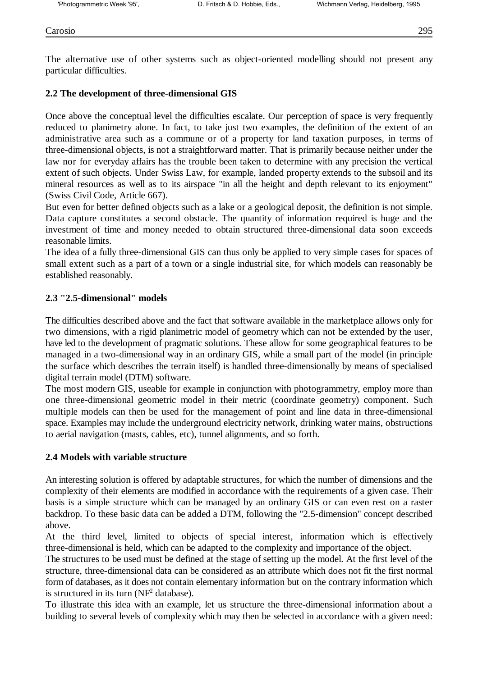The alternative use of other systems such as object-oriented modelling should not present any particular difficulties.

#### **2.2 The development of three-dimensional GIS**

Once above the conceptual level the difficulties escalate. Our perception of space is very frequently reduced to planimetry alone. In fact, to take just two examples, the definition of the extent of an administrative area such as a commune or of a property for land taxation purposes, in terms of three-dimensional objects, is not a straightforward matter. That is primarily because neither under the law nor for everyday affairs has the trouble been taken to determine with any precision the vertical extent of such objects. Under Swiss Law, for example, landed property extends to the subsoil and its mineral resources as well as to its airspace "in all the height and depth relevant to its enjoyment" (Swiss Civil Code, Article 667).

But even for better defined objects such as a lake or a geological deposit, the definition is not simple. Data capture constitutes a second obstacle. The quantity of information required is huge and the investment of time and money needed to obtain structured three-dimensional data soon exceeds reasonable limits.

The idea of a fully three-dimensional GIS can thus only be applied to very simple cases for spaces of small extent such as a part of a town or a single industrial site, for which models can reasonably be established reasonably.

#### **2.3 "2.5-dimensional" models**

The difficulties described above and the fact that software available in the marketplace allows only for two dimensions, with a rigid planimetric model of geometry which can not be extended by the user, have led to the development of pragmatic solutions. These allow for some geographical features to be managed in a two-dimensional way in an ordinary GIS, while a small part of the model (in principle the surface which describes the terrain itself) is handled three-dimensionally by means of specialised digital terrain model (DTM) software.

The most modern GIS, useable for example in conjunction with photogrammetry, employ more than one three-dimensional geometric model in their metric (coordinate geometry) component. Such multiple models can then be used for the management of point and line data in three-dimensional space. Examples may include the underground electricity network, drinking water mains, obstructions to aerial navigation (masts, cables, etc), tunnel alignments, and so forth.

#### **2.4 Models with variable structure**

An interesting solution is offered by adaptable structures, for which the number of dimensions and the complexity of their elements are modified in accordance with the requirements of a given case. Their basis is a simple structure which can be managed by an ordinary GIS or can even rest on a raster backdrop. To these basic data can be added a DTM, following the "2.5-dimension" concept described above.

At the third level, limited to objects of special interest, information which is effectively three-dimensional is held, which can be adapted to the complexity and importance of the object.

The structures to be used must be defined at the stage of setting up the model. At the first level of the structure, three-dimensional data can be considered as an attribute which does not fit the first normal form of databases, as it does not contain elementary information but on the contrary information which is structured in its turn  $(NF<sup>2</sup> database)$ .

To illustrate this idea with an example, let us structure the three-dimensional information about a building to several levels of complexity which may then be selected in accordance with a given need: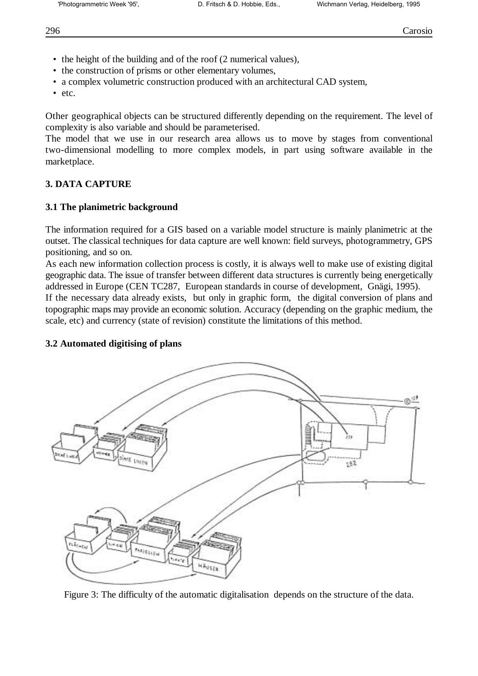- the height of the building and of the roof (2 numerical values).
- the construction of prisms or other elementary volumes,
- a complex volumetric construction produced with an architectural CAD system,
- etc.

Other geographical objects can be structured differently depending on the requirement. The level of complexity is also variable and should be parameterised.

The model that we use in our research area allows us to move by stages from conventional two-dimensional modelling to more complex models, in part using software available in the marketplace.

# **3. DATA CAPTURE**

## **3.1 The planimetric background**

The information required for a GIS based on a variable model structure is mainly planimetric at the outset. The classical techniques for data capture are well known: field surveys, photogrammetry, GPS positioning, and so on.

As each new information collection process is costly, it is always well to make use of existing digital geographic data. The issue of transfer between different data structures is currently being energetically addressed in Europe (CEN TC287, European standards in course of development, Gnägi, 1995).

If the necessary data already exists, but only in graphic form, the digital conversion of plans and topographic maps may provide an economic solution. Accuracy (depending on the graphic medium, the scale, etc) and currency (state of revision) constitute the limitations of this method.

## **3.2 Automated digitising of plans**



Figure 3: The difficulty of the automatic digitalisation depends on the structure of the data.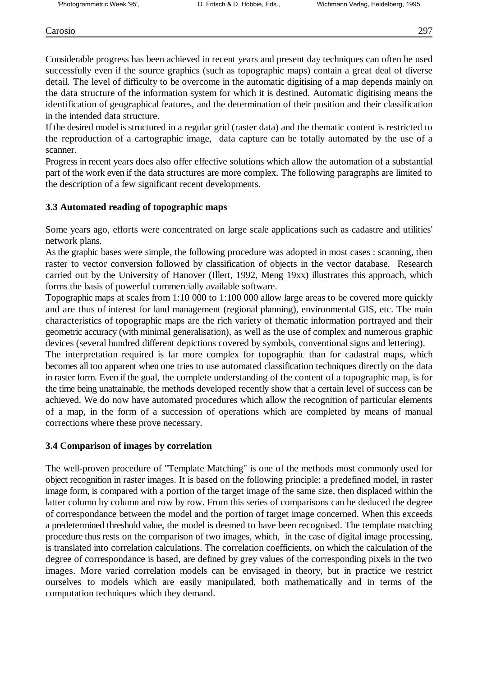Considerable progress has been achieved in recent years and present day techniques can often be used successfully even if the source graphics (such as topographic maps) contain a great deal of diverse detail. The level of difficulty to be overcome in the automatic digitising of a map depends mainly on the data structure of the information system for which it is destined. Automatic digitising means the identification of geographical features, and the determination of their position and their classification in the intended data structure.

If the desired model is structured in a regular grid (raster data) and the thematic content is restricted to the reproduction of a cartographic image, data capture can be totally automated by the use of a scanner.

Progress in recent years does also offer effective solutions which allow the automation of a substantial part of the work even if the data structures are more complex. The following paragraphs are limited to the description of a few significant recent developments.

#### **3.3 Automated reading of topographic maps**

Some years ago, efforts were concentrated on large scale applications such as cadastre and utilities' network plans.

As the graphic bases were simple, the following procedure was adopted in most cases : scanning, then raster to vector conversion followed by classification of objects in the vector database. Research carried out by the University of Hanover (Illert, 1992, Meng 19xx) illustrates this approach, which forms the basis of powerful commercially available software.

Topographic maps at scales from 1:10 000 to 1:100 000 allow large areas to be covered more quickly and are thus of interest for land management (regional planning), environmental GIS, etc. The main characteristics of topographic maps are the rich variety of thematic information portrayed and their geometric accuracy (with minimal generalisation), as well as the use of complex and numerous graphic devices (several hundred different depictions covered by symbols, conventional signs and lettering).

The interpretation required is far more complex for topographic than for cadastral maps, which becomes all too apparent when one tries to use automated classification techniques directly on the data in raster form. Even if the goal, the complete understanding of the content of a topographic map, is for the time being unattainable, the methods developed recently show that a certain level of success can be achieved. We do now have automated procedures which allow the recognition of particular elements of a map, in the form of a succession of operations which are completed by means of manual corrections where these prove necessary.

#### **3.4 Comparison of images by correlation**

The well-proven procedure of "Template Matching" is one of the methods most commonly used for object recognition in raster images. It is based on the following principle: a predefined model, in raster image form, is compared with a portion of the target image of the same size, then displaced within the latter column by column and row by row. From this series of comparisons can be deduced the degree of correspondance between the model and the portion of target image concerned. When this exceeds a predetermined threshold value, the model is deemed to have been recognised. The template matching procedure thus rests on the comparison of two images, which, in the case of digital image processing, is translated into correlation calculations. The correlation coefficients, on which the calculation of the degree of correspondance is based, are defined by grey values of the corresponding pixels in the two images. More varied correlation models can be envisaged in theory, but in practice we restrict ourselves to models which are easily manipulated, both mathematically and in terms of the computation techniques which they demand.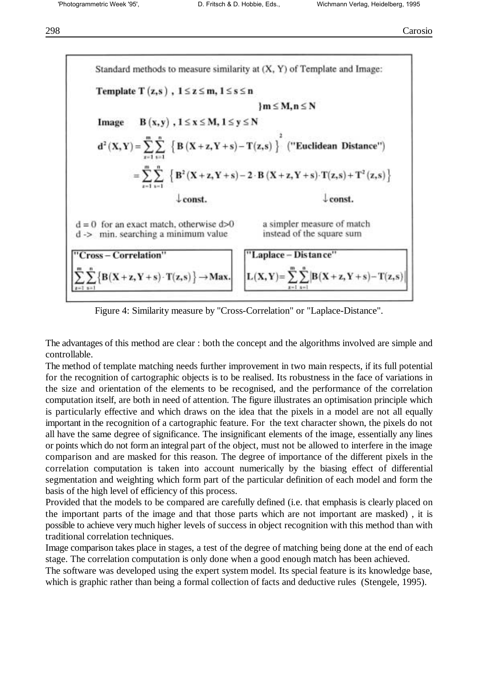

Figure 4: Similarity measure by "Cross-Correlation" or "Laplace-Distance".

The advantages of this method are clear : both the concept and the algorithms involved are simple and controllable.

The method of template matching needs further improvement in two main respects, if its full potential for the recognition of cartographic objects is to be realised. Its robustness in the face of variations in the size and orientation of the elements to be recognised, and the performance of the correlation computation itself, are both in need of attention. The figure illustrates an optimisation principle which is particularly effective and which draws on the idea that the pixels in a model are not all equally important in the recognition of a cartographic feature. For the text character shown, the pixels do not all have the same degree of significance. The insignificant elements of the image, essentially any lines or points which do not form an integral part of the object, must not be allowed to interfere in the image comparison and are masked for this reason. The degree of importance of the different pixels in the correlation computation is taken into account numerically by the biasing effect of differential segmentation and weighting which form part of the particular definition of each model and form the basis of the high level of efficiency of this process.

Provided that the models to be compared are carefully defined (i.e. that emphasis is clearly placed on the important parts of the image and that those parts which are not important are masked) , it is possible to achieve very much higher levels of success in object recognition with this method than with traditional correlation techniques.

Image comparison takes place in stages, a test of the degree of matching being done at the end of each stage. The correlation computation is only done when a good enough match has been achieved.

The software was developed using the expert system model. Its special feature is its knowledge base, which is graphic rather than being a formal collection of facts and deductive rules (Stengele, 1995).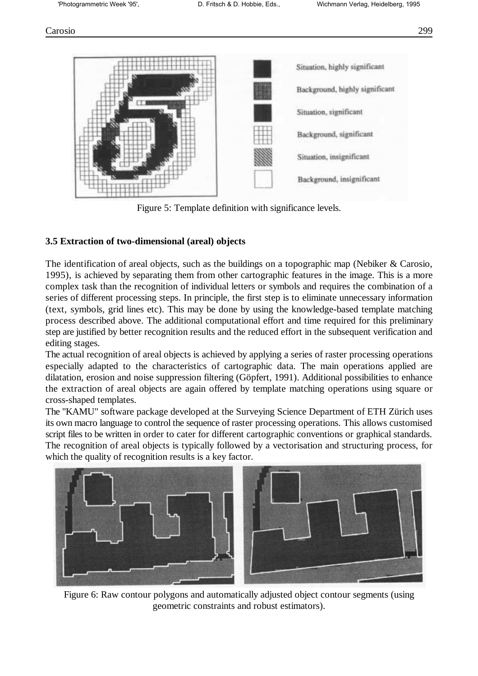

Figure 5: Template definition with significance levels.

### **3.5 Extraction of two-dimensional (areal) objects**

The identification of areal objects, such as the buildings on a topographic map (Nebiker & Carosio, 1995), is achieved by separating them from other cartographic features in the image. This is a more complex task than the recognition of individual letters or symbols and requires the combination of a series of different processing steps. In principle, the first step is to eliminate unnecessary information (text, symbols, grid lines etc). This may be done by using the knowledge-based template matching process described above. The additional computational effort and time required for this preliminary step are justified by better recognition results and the reduced effort in the subsequent verification and editing stages.

The actual recognition of areal objects is achieved by applying a series of raster processing operations especially adapted to the characteristics of cartographic data. The main operations applied are dilatation, erosion and noise suppression filtering (Göpfert, 1991). Additional possibilities to enhance the extraction of areal objects are again offered by template matching operations using square or cross-shaped templates.

The "KAMU" software package developed at the Surveying Science Department of ETH Zürich uses its own macro language to control the sequence of raster processing operations. This allows customised script files to be written in order to cater for different cartographic conventions or graphical standards. The recognition of areal objects is typically followed by a vectorisation and structuring process, for which the quality of recognition results is a key factor.



Figure 6: Raw contour polygons and automatically adjusted object contour segments (using geometric constraints and robust estimators).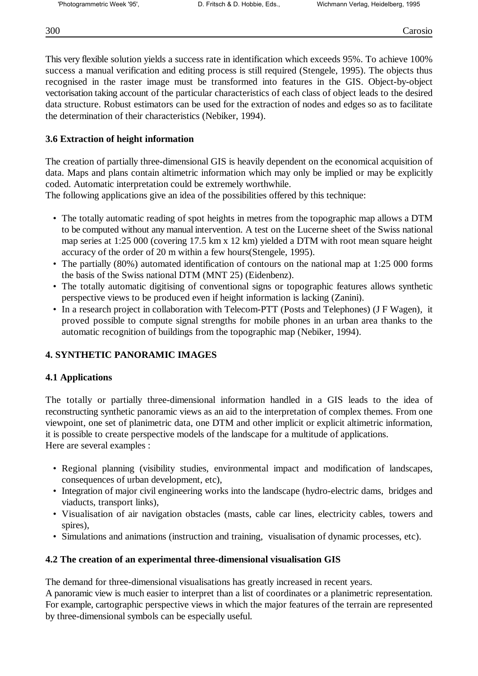This very flexible solution yields a success rate in identification which exceeds 95%. To achieve 100% success a manual verification and editing process is still required (Stengele, 1995). The objects thus recognised in the raster image must be transformed into features in the GIS. Object-by-object vectorisation taking account of the particular characteristics of each class of object leads to the desired data structure. Robust estimators can be used for the extraction of nodes and edges so as to facilitate the determination of their characteristics (Nebiker, 1994).

#### **3.6 Extraction of height information**

The creation of partially three-dimensional GIS is heavily dependent on the economical acquisition of data. Maps and plans contain altimetric information which may only be implied or may be explicitly coded. Automatic interpretation could be extremely worthwhile.

The following applications give an idea of the possibilities offered by this technique:

- The totally automatic reading of spot heights in metres from the topographic map allows a DTM to be computed without any manual intervention. A test on the Lucerne sheet of the Swiss national map series at 1:25 000 (covering 17.5 km x 12 km) yielded a DTM with root mean square height accuracy of the order of 20 m within a few hours(Stengele, 1995).
- The partially (80%) automated identification of contours on the national map at 1:25 000 forms the basis of the Swiss national DTM (MNT 25) (Eidenbenz).
- The totally automatic digitising of conventional signs or topographic features allows synthetic perspective views to be produced even if height information is lacking (Zanini).
- In a research project in collaboration with Telecom-PTT (Posts and Telephones) (J F Wagen), it proved possible to compute signal strengths for mobile phones in an urban area thanks to the automatic recognition of buildings from the topographic map (Nebiker, 1994).

### **4. SYNTHETIC PANORAMIC IMAGES**

#### **4.1 Applications**

The totally or partially three-dimensional information handled in a GIS leads to the idea of reconstructing synthetic panoramic views as an aid to the interpretation of complex themes. From one viewpoint, one set of planimetric data, one DTM and other implicit or explicit altimetric information, it is possible to create perspective models of the landscape for a multitude of applications. Here are several examples :

- Regional planning (visibility studies, environmental impact and modification of landscapes, consequences of urban development, etc),
- Integration of major civil engineering works into the landscape (hydro-electric dams, bridges and viaducts, transport links),
- Visualisation of air navigation obstacles (masts, cable car lines, electricity cables, towers and spires),
- Simulations and animations (instruction and training, visualisation of dynamic processes, etc).

### **4.2 The creation of an experimental three-dimensional visualisation GIS**

The demand for three-dimensional visualisations has greatly increased in recent years.

A panoramic view is much easier to interpret than a list of coordinates or a planimetric representation. For example, cartographic perspective views in which the major features of the terrain are represented by three-dimensional symbols can be especially useful.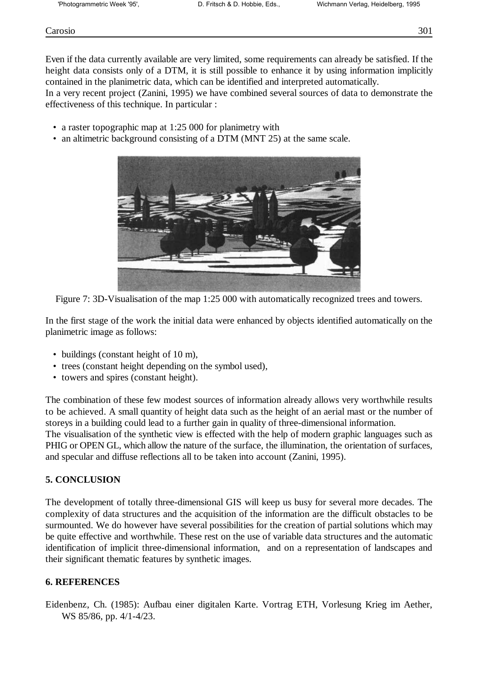Even if the data currently available are very limited, some requirements can already be satisfied. If the height data consists only of a DTM, it is still possible to enhance it by using information implicitly contained in the planimetric data, which can be identified and interpreted automatically.

In a very recent project (Zanini, 1995) we have combined several sources of data to demonstrate the effectiveness of this technique. In particular :

- a raster topographic map at 1:25 000 for planimetry with
- an altimetric background consisting of a DTM (MNT 25) at the same scale.



Figure 7: 3D-Visualisation of the map 1:25 000 with automatically recognized trees and towers.

In the first stage of the work the initial data were enhanced by objects identified automatically on the planimetric image as follows:

- buildings (constant height of 10 m),
- trees (constant height depending on the symbol used).
- towers and spires (constant height).

The combination of these few modest sources of information already allows very worthwhile results to be achieved. A small quantity of height data such as the height of an aerial mast or the number of storeys in a building could lead to a further gain in quality of three-dimensional information. The visualisation of the synthetic view is effected with the help of modern graphic languages such as PHIG or OPEN GL, which allow the nature of the surface, the illumination, the orientation of surfaces, and specular and diffuse reflections all to be taken into account (Zanini, 1995).

#### **5. CONCLUSION**

The development of totally three-dimensional GIS will keep us busy for several more decades. The complexity of data structures and the acquisition of the information are the difficult obstacles to be surmounted. We do however have several possibilities for the creation of partial solutions which may be quite effective and worthwhile. These rest on the use of variable data structures and the automatic identification of implicit three-dimensional information, and on a representation of landscapes and their significant thematic features by synthetic images.

#### **6. REFERENCES**

Eidenbenz, Ch. (1985): Aufbau einer digitalen Karte. Vortrag ETH, Vorlesung Krieg im Aether, WS 85/86, pp. 4/1-4/23.